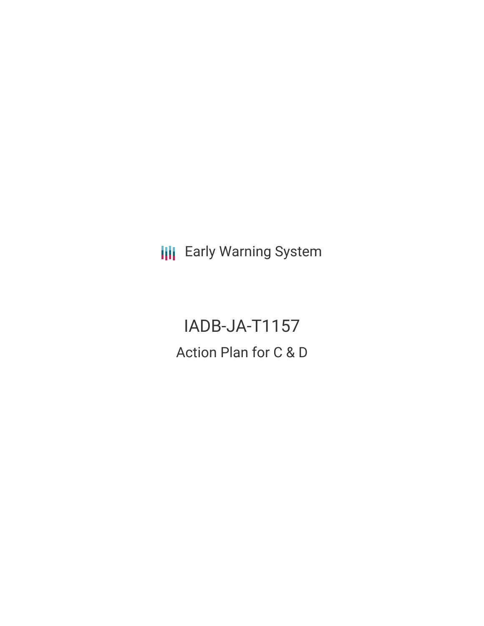**III** Early Warning System

IADB-JA-T1157 Action Plan for C & D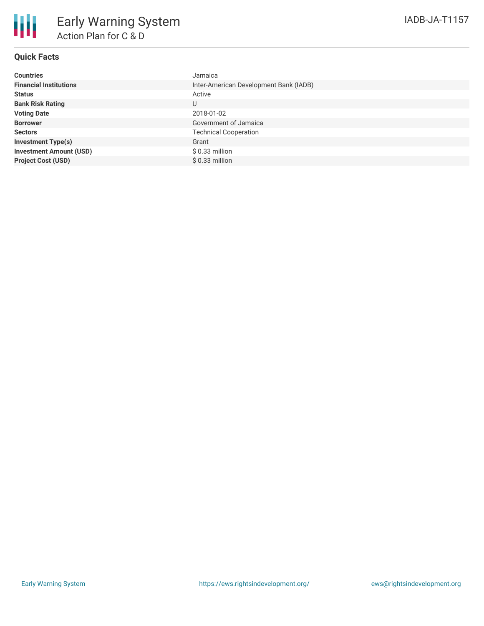## **Quick Facts**

| <b>Countries</b>               | Jamaica                                |
|--------------------------------|----------------------------------------|
| <b>Financial Institutions</b>  | Inter-American Development Bank (IADB) |
| <b>Status</b>                  | Active                                 |
| <b>Bank Risk Rating</b>        | U                                      |
| <b>Voting Date</b>             | 2018-01-02                             |
| <b>Borrower</b>                | Government of Jamaica                  |
| <b>Sectors</b>                 | <b>Technical Cooperation</b>           |
| <b>Investment Type(s)</b>      | Grant                                  |
| <b>Investment Amount (USD)</b> | $$0.33$ million                        |
| <b>Project Cost (USD)</b>      | $$0.33$ million                        |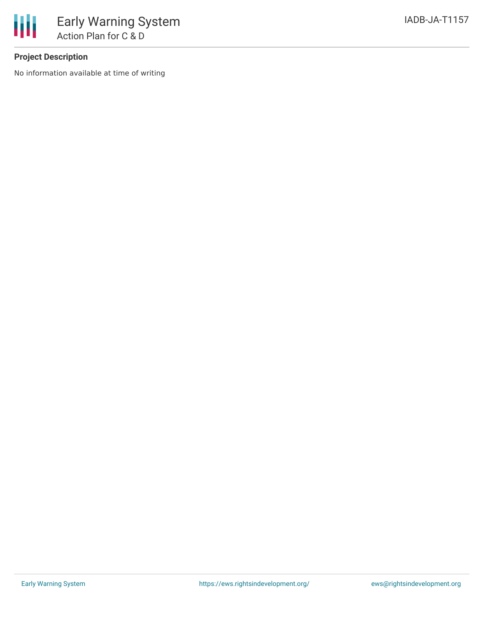

# **Project Description**

No information available at time of writing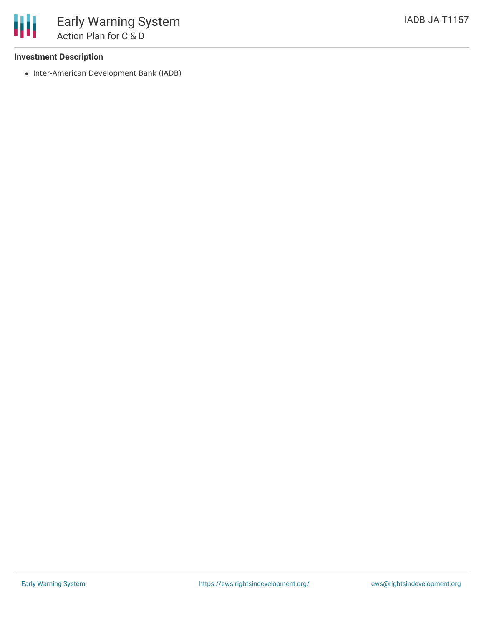### **Investment Description**

• Inter-American Development Bank (IADB)